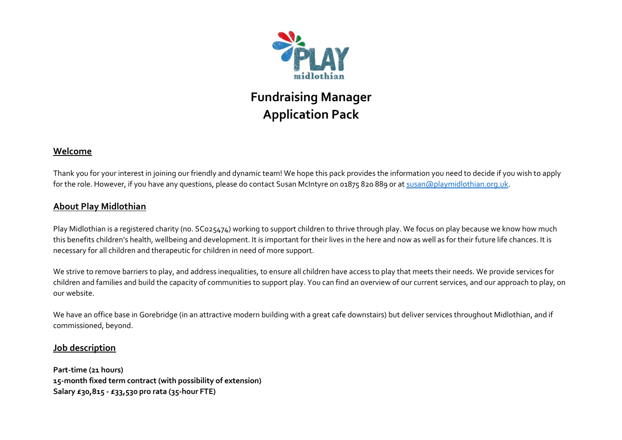

## **Fundraising Manager Application Pack**

## **Welcome**

Thank you for your interest in joining our friendly and dynamic team! We hope this pack provides the information you need to decide if you wish to apply for the role. However, if you have any questions, please do contact Susan McIntyre on 01875 820 889 or at [susan@playmidlothian.org.uk.](mailto:susan@playmidlothian.org.uk)

## **About Play Midlothian**

Play Midlothian is a registered charity (no. SC025474) working to support children to thrive through play. We focus on play because we know how much this benefits children's health, wellbeing and development. It is important for their lives in the here and now as well as for their future life chances. It is necessary for all children and therapeutic for children in need of more support.

We strive to remove barriers to play, and address inequalities, to ensure all children have access to play that meets their needs. We provide services for children and families and build the capacity of communities to support play. You can find an overview of our current services, and our approach to play, on our website.

We have an office base in Gorebridge (in an attractive modern building with a great cafe downstairs) but deliver services throughout Midlothian, and if commissioned, beyond.

## **Job description**

**Part-time (21 hours) 15-month fixed term contract (with possibility of extension) Salary £30,815 - £33,530 pro rata (35-hour FTE)**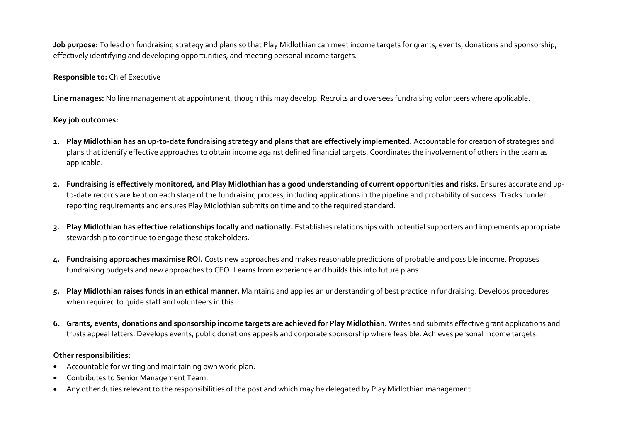**Job purpose:** To lead on fundraising strategy and plans so that Play Midlothian can meet income targets for grants, events, donations and sponsorship, effectively identifying and developing opportunities, and meeting personal income targets.

#### **Responsible to:** Chief Executive

**Line manages:** No line management at appointment, though this may develop. Recruits and oversees fundraising volunteers where applicable.

#### **Key job outcomes:**

- **1. Play Midlothian has an up-to-date fundraising strategy and plans that are effectively implemented.** Accountable for creation of strategies and plans that identify effective approaches to obtain income against defined financial targets. Coordinates the involvement of others in the team as applicable.
- **2. Fundraising is effectively monitored, and Play Midlothian has a good understanding of current opportunities and risks.** Ensures accurate and upto-date records are kept on each stage of the fundraising process, including applications in the pipeline and probability of success. Tracks funder reporting requirements and ensures Play Midlothian submits on time and to the required standard.
- **3. Play Midlothian has effective relationships locally and nationally.** Establishes relationships with potential supporters and implements appropriate stewardship to continue to engage these stakeholders.
- **4. Fundraising approaches maximise ROI.** Costs new approaches and makes reasonable predictions of probable and possible income. Proposes fundraising budgets and new approaches to CEO. Learns from experience and builds this into future plans.
- **5. Play Midlothian raises funds in an ethical manner.** Maintains and applies an understanding of best practice in fundraising. Develops procedures when required to guide staff and volunteers in this.
- **6. Grants, events, donations and sponsorship income targets are achieved for Play Midlothian.** Writes and submits effective grant applications and trusts appeal letters. Develops events, public donations appeals and corporate sponsorship where feasible. Achieves personal income targets.

#### **Other responsibilities:**

- Accountable for writing and maintaining own work-plan.
- Contributes to Senior Management Team.
- Any other duties relevant to the responsibilities of the post and which may be delegated by Play Midlothian management.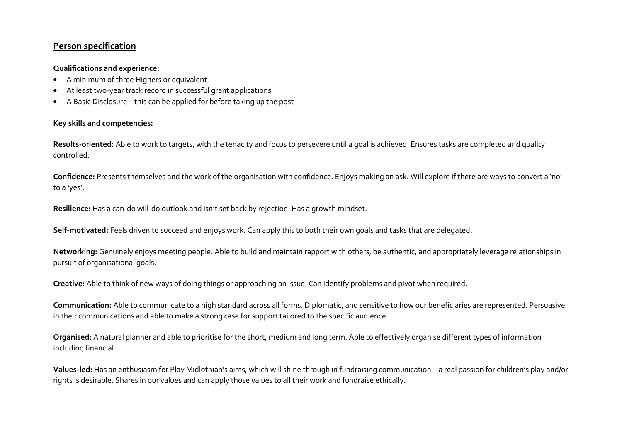## **Person specification**

#### **Qualifications and experience:**

- A minimum of three Highers or equivalent
- At least two-year track record in successful grant applications
- A Basic Disclosure this can be applied for before taking up the post

#### **Key skills and competencies:**

**Results-oriented:** Able to work to targets, with the tenacity and focus to persevere until a goal is achieved. Ensures tasks are completed and quality controlled.

**Confidence:** Presents themselves and the work of the organisation with confidence. Enjoys making an ask. Will explore if there are ways to convert a 'no' to a 'yes'.

**Resilience:** Has a can-do will-do outlook and isn't set back by rejection. Has a growth mindset.

**Self-motivated:** Feels driven to succeed and enjoys work. Can apply this to both their own goals and tasks that are delegated.

**Networking:** Genuinely enjoys meeting people. Able to build and maintain rapport with others, be authentic, and appropriately leverage relationships in pursuit of organisational goals.

**Creative:** Able to think of new ways of doing things or approaching an issue. Can identify problems and pivot when required.

**Communication:** Able to communicate to a high standard across all forms. Diplomatic, and sensitive to how our beneficiaries are represented. Persuasive in their communications and able to make a strong case for support tailored to the specific audience.

**Organised:** A natural planner and able to prioritise for the short, medium and long term. Able to effectively organise different types of information including financial.

**Values-led:** Has an enthusiasm for Play Midlothian's aims, which will shine through in fundraising communication – a real passion for children's play and/or rights is desirable. Shares in our values and can apply those values to all their work and fundraise ethically.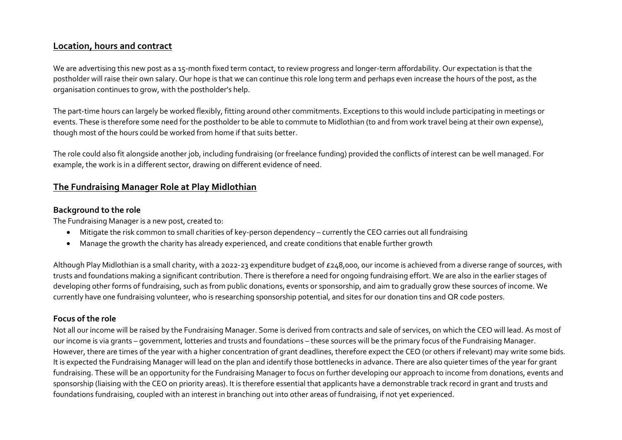## **Location, hours and contract**

We are advertising this new post as a 15-month fixed term contact, to review progress and longer-term affordability. Our expectation is that the postholder will raise their own salary. Our hope is that we can continue this role long term and perhaps even increase the hours of the post, as the organisation continues to grow, with the postholder's help.

The part-time hours can largely be worked flexibly, fitting around other commitments. Exceptions to this would include participating in meetings or events. These is therefore some need for the postholder to be able to commute to Midlothian (to and from work travel being at their own expense), though most of the hours could be worked from home if that suits better.

The role could also fit alongside another job, including fundraising (or freelance funding) provided the conflicts of interest can be well managed. For example, the work is in a different sector, drawing on different evidence of need.

## **The Fundraising Manager Role at Play Midlothian**

#### **Background to the role**

The Fundraising Manager is a new post, created to:

- Mitigate the risk common to small charities of key-person dependency currently the CEO carries out all fundraising
- Manage the growth the charity has already experienced, and create conditions that enable further growth

Although Play Midlothian is a small charity, with a 2022-23 expenditure budget of £248,000, our income is achieved from a diverse range of sources, with trusts and foundations making a significant contribution. There is therefore a need for ongoing fundraising effort. We are also in the earlier stages of developing other forms of fundraising, such as from public donations, events or sponsorship, and aim to gradually grow these sources of income. We currently have one fundraising volunteer, who is researching sponsorship potential, and sites for our donation tins and QR code posters.

#### **Focus of the role**

Not all our income will be raised by the Fundraising Manager. Some is derived from contracts and sale of services, on which the CEO will lead. As most of our income is via grants – government, lotteries and trusts and foundations – these sources will be the primary focus of the Fundraising Manager. However, there are times of the year with a higher concentration of grant deadlines, therefore expect the CEO (or others if relevant) may write some bids. It is expected the Fundraising Manager will lead on the plan and identify those bottlenecks in advance. There are also quieter times of the year for grant fundraising. These will be an opportunity for the Fundraising Manager to focus on further developing our approach to income from donations, events and sponsorship (liaising with the CEO on priority areas). It is therefore essential that applicants have a demonstrable track record in grant and trusts and foundations fundraising, coupled with an interest in branching out into other areas of fundraising, if not yet experienced.